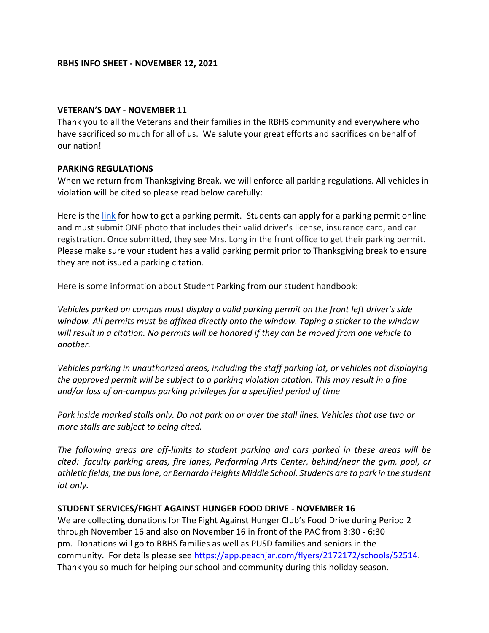#### **VETERAN'S DAY - NOVEMBER 11**

Thank you to all the Veterans and their families in the RBHS community and everywhere who have sacrificed so much for all of us. We salute your great efforts and sacrifices on behalf of our nation!

### **PARKING REGULATIONS**

When we return from Thanksgiving Break, we will enforce all parking regulations. All vehicles in violation will be cited so please read below carefully:

Here is the [link](https://www.powayusd.com/en-US/Schools/HS/RBHS/STUDENTS/Student-Parking) for how to get a parking permit. Students can apply for a parking permit online and must submit ONE photo that includes their valid driver's license, insurance card, and car registration. Once submitted, they see Mrs. Long in the front office to get their parking permit. Please make sure your student has a valid parking permit prior to Thanksgiving break to ensure they are not issued a parking citation.

Here is some information about Student Parking from our student handbook:

*Vehicles parked on campus must display a valid parking permit on the front left driver's side window. All permits must be affixed directly onto the window. Taping a sticker to the window will result in a citation. No permits will be honored if they can be moved from one vehicle to another.*

*Vehicles parking in unauthorized areas, including the staff parking lot, or vehicles not displaying the approved permit will be subject to a parking violation citation. This may result in a fine and/or loss of on-campus parking privileges for a specified period of time*

*Park inside marked stalls only. Do not park on or over the stall lines. Vehicles that use two or more stalls are subject to being cited.*

*The following areas are off-limits to student parking and cars parked in these areas will be cited: faculty parking areas, fire lanes, Performing Arts Center, behind/near the gym, pool, or athletic fields, the bus lane, or Bernardo Heights Middle School. Students are to park in the student lot only.*

### **STUDENT SERVICES/FIGHT AGAINST HUNGER FOOD DRIVE - NOVEMBER 16**

We are collecting donations for The Fight Against Hunger Club's Food Drive during Period 2 through November 16 and also on November 16 in front of the PAC from 3:30 - 6:30 pm. Donations will go to RBHS families as well as PUSD families and seniors in the community. For details please see [https://app.peachjar.com/flyers/2172172/schools/52514.](https://app.peachjar.com/flyers/2172172/schools/52514) Thank you so much for helping our school and community during this holiday season.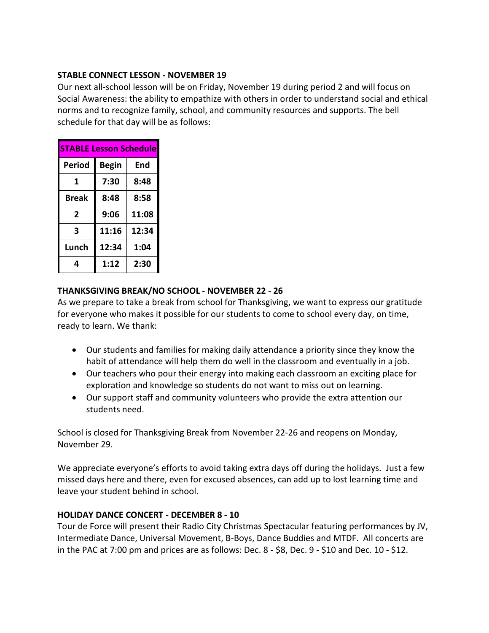### **STABLE CONNECT LESSON - NOVEMBER 19**

Our next all-school lesson will be on Friday, November 19 during period 2 and will focus on Social Awareness: the ability to empathize with others in order to understand social and ethical norms and to recognize family, school, and community resources and supports. The bell schedule for that day will be as follows:

| <b>STABLE Lesson Schedule</b> |              |       |
|-------------------------------|--------------|-------|
| Period                        | <b>Begin</b> | End   |
| 1                             | 7:30         | 8:48  |
| <b>Break</b>                  | 8:48         | 8:58  |
| 2                             | 9:06         | 11:08 |
| 3                             | 11:16        | 12:34 |
| Lunch                         | 12:34        | 1:04  |
| 4                             | 1:12         | 2:30  |

# **THANKSGIVING BREAK/NO SCHOOL - NOVEMBER 22 - 26**

As we prepare to take a break from school for Thanksgiving, we want to express our gratitude for everyone who makes it possible for our students to come to school every day, on time, ready to learn. We thank:

- Our students and families for making daily attendance a priority since they know the habit of attendance will help them do well in the classroom and eventually in a job.
- Our teachers who pour their energy into making each classroom an exciting place for exploration and knowledge so students do not want to miss out on learning.
- Our support staff and community volunteers who provide the extra attention our students need.

School is closed for Thanksgiving Break from November 22-26 and reopens on Monday, November 29.

We appreciate everyone's efforts to avoid taking extra days off during the holidays. Just a few missed days here and there, even for excused absences, can add up to lost learning time and leave your student behind in school.

# **HOLIDAY DANCE CONCERT - DECEMBER 8 - 10**

Tour de Force will present their Radio City Christmas Spectacular featuring performances by JV, Intermediate Dance, Universal Movement, B-Boys, Dance Buddies and MTDF. All concerts are in the PAC at 7:00 pm and prices are as follows: Dec. 8 - \$8, Dec. 9 - \$10 and Dec. 10 - \$12.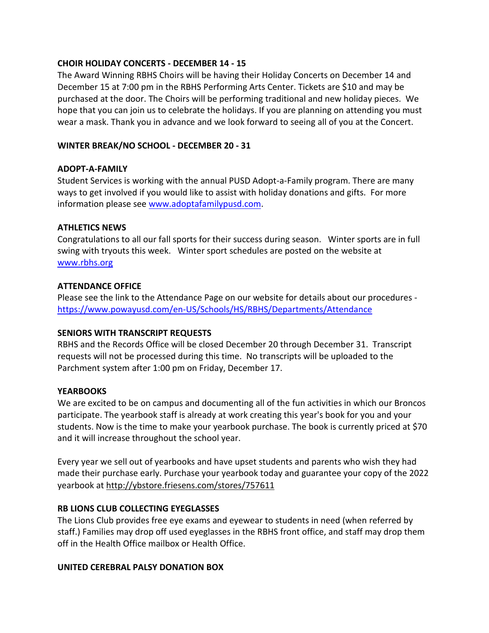### **CHOIR HOLIDAY CONCERTS - DECEMBER 14 - 15**

The Award Winning RBHS Choirs will be having their Holiday Concerts on December 14 and December 15 at 7:00 pm in the RBHS Performing Arts Center. Tickets are \$10 and may be purchased at the door. The Choirs will be performing traditional and new holiday pieces. We hope that you can join us to celebrate the holidays. If you are planning on attending you must wear a mask. Thank you in advance and we look forward to seeing all of you at the Concert.

### **WINTER BREAK/NO SCHOOL - DECEMBER 20 - 31**

### **ADOPT-A-FAMILY**

Student Services is working with the annual PUSD Adopt-a-Family program. There are many ways to get involved if you would like to assist with holiday donations and gifts. For more information please see [www.adoptafamilypusd.com.](http://www.adoptafamilypusd.com/)

### **ATHLETICS NEWS**

Congratulations to all our fall sports for their success during season. Winter sports are in full swing with tryouts this week. Winter sport schedules are posted on the website at [www.rbhs.org](http://www.rbhs.org/)

# **ATTENDANCE OFFICE**

Please see the link to the Attendance Page on our website for details about our procedures <https://www.powayusd.com/en-US/Schools/HS/RBHS/Departments/Attendance>

# **SENIORS WITH TRANSCRIPT REQUESTS**

RBHS and the Records Office will be closed December 20 through December 31. Transcript requests will not be processed during this time. No transcripts will be uploaded to the Parchment system after 1:00 pm on Friday, December 17.

### **YEARBOOKS**

We are excited to be on campus and documenting all of the fun activities in which our Broncos participate. The yearbook staff is already at work creating this year's book for you and your students. Now is the time to make your yearbook purchase. The book is currently priced at \$70 and it will increase throughout the school year.

Every year we sell out of yearbooks and have upset students and parents who wish they had made their purchase early. Purchase your yearbook today and guarantee your copy of the 2022 yearbook at <http://ybstore.friesens.com/stores/757611>

# **RB LIONS CLUB COLLECTING EYEGLASSES**

The Lions Club provides free eye exams and eyewear to students in need (when referred by staff.) Families may drop off used eyeglasses in the RBHS front office, and staff may drop them off in the Health Office mailbox or Health Office.

### **UNITED CEREBRAL PALSY DONATION BOX**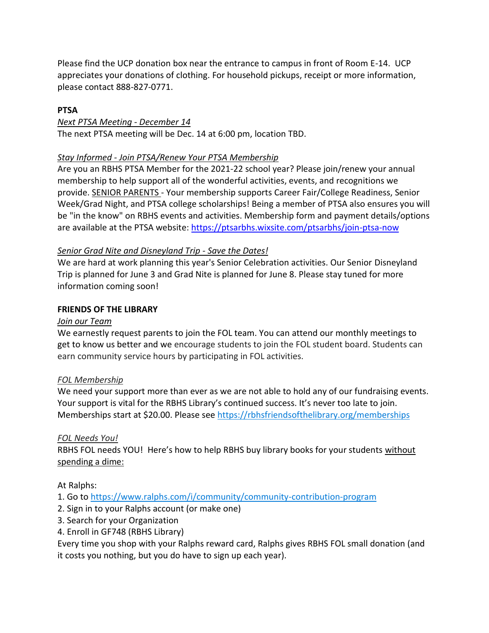Please find the UCP donation box near the entrance to campus in front of Room E-14. UCP appreciates your donations of clothing. For household pickups, receipt or more information, please contact 888-827-0771.

# **PTSA**

### *Next PTSA Meeting - December 14*

The next PTSA meeting will be Dec. 14 at 6:00 pm, location TBD.

# *Stay Informed - Join PTSA/Renew Your PTSA Membership*

Are you an RBHS PTSA Member for the 2021-22 school year? Please join/renew your annual membership to help support all of the wonderful activities, events, and recognitions we provide. SENIOR PARENTS - Your membership supports Career Fair/College Readiness, Senior Week/Grad Night, and PTSA college scholarships! Being a member of PTSA also ensures you will be "in the know" on RBHS events and activities. Membership form and payment details/options are available at the PTSA website: [https://ptsarbhs.wixsite.com/ptsarbhs/join-ptsa-now](https://linkprotect.cudasvc.com/url?a=https%3a%2f%2fptsarbhs.wixsite.com%2fptsarbhs%2fjoin-ptsa-now&c=E,1,RMbG1ZNDKOwxdeu8FXUorhWp3QRnJXuZvxT5AIf6oZUQXZx92BvasJPrHrUsnpTZWnC0ng8ajMYfnWE_gwVcW2Rn3oFC9zHOV4bDO54cogBnwLg,&typo=0)

# *Senior Grad Nite and Disneyland Trip - Save the Dates!*

We are hard at work planning this year's Senior Celebration activities. Our Senior Disneyland Trip is planned for June 3 and Grad Nite is planned for June 8. Please stay tuned for more information coming soon!

### **FRIENDS OF THE LIBRARY**

### *Join our Team*

We earnestly request parents to join the FOL team. You can attend our monthly meetings to get to know us better and we encourage students to join the FOL student board. Students can earn community service hours by participating in FOL activities.

### *FOL Membership*

We need your support more than ever as we are not able to hold any of our fundraising events. Your support is vital for the RBHS Library's continued success. It's never too late to join. Memberships start at \$20.00. Please see [https://rbhsfriendsofthelibrary.org/memberships](https://linkprotect.cudasvc.com/url?a=https%3a%2f%2frbhsfriendsofthelibrary.org%2fmembership&c=E,1,ACkmCTTYAIvZTNxVTJ-ShWz-o5tYxio0HfgE3iJKwecS5oraxLZuhlcFjwzObd3P32T6Ua26kNb2Q6_IbMhD4l9oRY9N16mR3HWGxIfFal5s8-WG4rM,&typo=0)

### *FOL Needs You!*

RBHS FOL needs YOU! Here's how to help RBHS buy library books for your students without spending a dime:

At Ralphs:

1. Go to [https://www.ralphs.com/i/community/community-contribution-program](https://linkprotect.cudasvc.com/url?a=https%3a%2f%2fwww.ralphs.com%2fi%2fcommunity%2fcommunity-contribution-program&c=E,1,a2ab3-xEIEHdC--gGRQqkbhzXBUmcfaChDr94HUxNCvJfdDWk4UGmtmTse6OaA48wPbEbu7s0jlqLh7CdlaXYCLXrWChpLbMRx0ifhTYwA,,&typo=0)

- 2. Sign in to your Ralphs account (or make one)
- 3. Search for your Organization
- 4. Enroll in GF748 (RBHS Library)

Every time you shop with your Ralphs reward card, Ralphs gives RBHS FOL small donation (and it costs you nothing, but you do have to sign up each year).